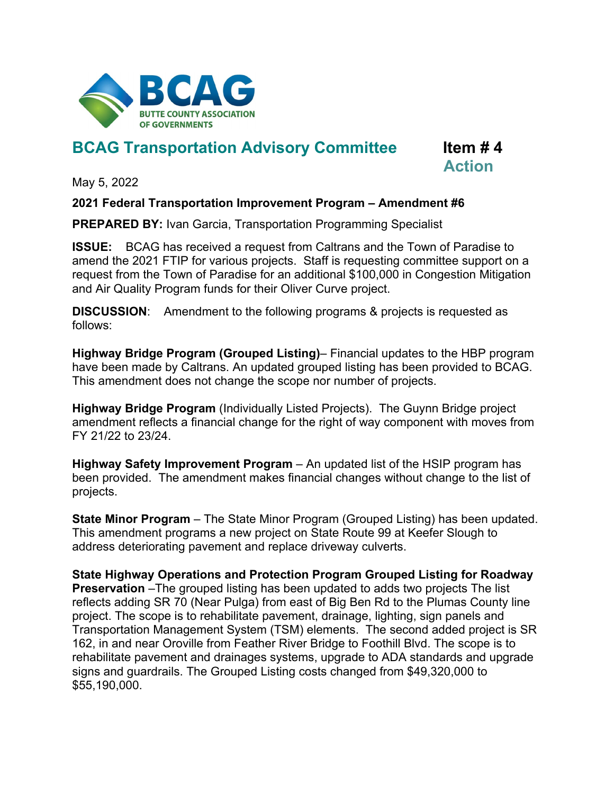

## **BCAG Transportation Advisory Committee Item # 4**

**Action**

May 5, 2022

## **2021 Federal Transportation Improvement Program – Amendment #6**

**PREPARED BY:** Ivan Garcia, Transportation Programming Specialist

**ISSUE:** BCAG has received a request from Caltrans and the Town of Paradise to amend the 2021 FTIP for various projects. Staff is requesting committee support on a request from the Town of Paradise for an additional \$100,000 in Congestion Mitigation and Air Quality Program funds for their Oliver Curve project.

**DISCUSSION**: Amendment to the following programs & projects is requested as follows:

**Highway Bridge Program (Grouped Listing)**– Financial updates to the HBP program have been made by Caltrans. An updated grouped listing has been provided to BCAG. This amendment does not change the scope nor number of projects.

**Highway Bridge Program** (Individually Listed Projects). The Guynn Bridge project amendment reflects a financial change for the right of way component with moves from FY 21/22 to 23/24.

**Highway Safety Improvement Program** – An updated list of the HSIP program has been provided. The amendment makes financial changes without change to the list of projects.

**State Minor Program** – The State Minor Program (Grouped Listing) has been updated. This amendment programs a new project on State Route 99 at Keefer Slough to address deteriorating pavement and replace driveway culverts.

**State Highway Operations and Protection Program Grouped Listing for Roadway Preservation** –The grouped listing has been updated to adds two projects The list reflects adding SR 70 (Near Pulga) from east of Big Ben Rd to the Plumas County line project. The scope is to rehabilitate pavement, drainage, lighting, sign panels and Transportation Management System (TSM) elements. The second added project is SR 162, in and near Oroville from Feather River Bridge to Foothill Blvd. The scope is to rehabilitate pavement and drainages systems, upgrade to ADA standards and upgrade signs and guardrails. The Grouped Listing costs changed from \$49,320,000 to \$55,190,000.